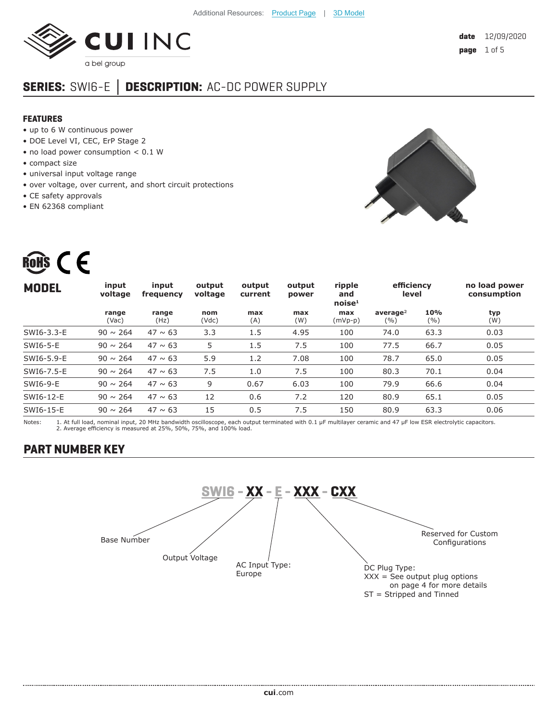

# **SERIES:** SWI6-E **│ DESCRIPTION:** AC-DC POWER SUPPLY

#### **FEATURES**

- up to 6 W continuous power
- DOE Level VI, CEC, ErP Stage 2
- no load power consumption < 0.1 W
- compact size
- universal input voltage range
- over voltage, over current, and short circuit protections
- CE safety approvals
- EN 62368 compliant

ROHS  $\epsilon$ 



| <b>MODEL</b> | input<br>voltage | input<br>frequency | output<br>voltage | output<br>current | output<br>power | ripple<br>and<br>noise <sup>1</sup> | efficiency<br>level          |              | no load power<br>consumption |  |
|--------------|------------------|--------------------|-------------------|-------------------|-----------------|-------------------------------------|------------------------------|--------------|------------------------------|--|
|              | range<br>(Vac)   | range<br>(Hz)      | nom<br>(Vdc)      | max<br>(A)        | max<br>(W)      | max<br>$(mVp-p)$                    | average <sup>2</sup><br>( %) | 10%<br>(9/6) | typ<br>(W)                   |  |
| SWI6-3.3-E   | $90 \sim 264$    | $47 \sim 63$       | 3.3               | 1.5               | 4.95            | 100                                 | 74.0                         | 63.3         | 0.03                         |  |
| SWI6-5-E     | $90 \sim 264$    | $47 \sim 63$       | 5                 | 1.5               | 7.5             | 100                                 | 77.5                         | 66.7         | 0.05                         |  |
| SWI6-5.9-E   | $90 \sim 264$    | $47 \sim 63$       | 5.9               | 1.2               | 7.08            | 100                                 | 78.7                         | 65.0         | 0.05                         |  |
| SWI6-7.5-E   | $90 \sim 264$    | $47 \sim 63$       | 7.5               | 1.0               | 7.5             | 100                                 | 80.3                         | 70.1         | 0.04                         |  |
| SWI6-9-E     | $90 \sim 264$    | $47 \sim 63$       | 9                 | 0.67              | 6.03            | 100                                 | 79.9                         | 66.6         | 0.04                         |  |
| SWI6-12-E    | $90 \sim 264$    | $47 \sim 63$       | 12                | 0.6               | 7.2             | 120                                 | 80.9                         | 65.1         | 0.05                         |  |
| SWI6-15-E    | $90 \sim 264$    | $47 \sim 63$       | 15                | 0.5               | 7.5             | 150                                 | 80.9                         | 63.3         | 0.06                         |  |
|              |                  |                    |                   |                   |                 |                                     |                              |              |                              |  |

Notes: 1. At full load, nominal input, 20 MHz bandwidth oscilloscope, each output terminated with 0.1 μF multilayer ceramic and 47 μF low ESR electrolytic capacitors. 2. Average efficiency is measured at 25%, 50%, 75%, and 100% load.

# **PART NUMBER KEY**

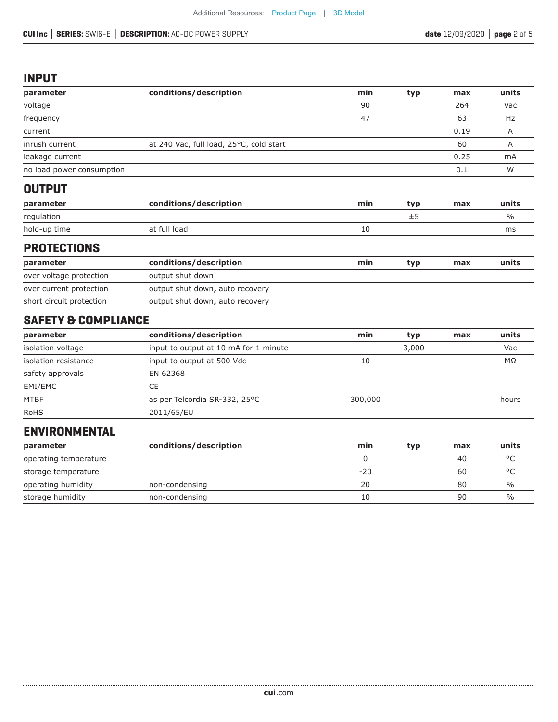### **INPUT**

| parameter                 | conditions/description                  | min | typ | max  | units |
|---------------------------|-----------------------------------------|-----|-----|------|-------|
| voltage                   |                                         | 90  |     | 264  | Vac   |
| frequency                 |                                         | 47  |     | 63   | Hz    |
| current                   |                                         |     |     | 0.19 | Α     |
| inrush current            | at 240 Vac, full load, 25°C, cold start |     |     | 60   |       |
| leakage current           |                                         |     |     | 0.25 | mA    |
| no load power consumption |                                         |     |     | 0.1  | W     |
| --------                  |                                         |     |     |      |       |

#### **OUTPUT**

| parameter    | conditions/description | min | tvn       | max | units |
|--------------|------------------------|-----|-----------|-----|-------|
| regulation   |                        |     | <b>__</b> |     | $\%$  |
| hold-up time | at full load           | ΤO  |           |     | ms    |

#### **PROTECTIONS**

| parameter                | conditions/description          | min | tvp | max | units |
|--------------------------|---------------------------------|-----|-----|-----|-------|
| over voltage protection  | output shut down                |     |     |     |       |
| over current protection  | output shut down, auto recovery |     |     |     |       |
| short circuit protection | output shut down, auto recovery |     |     |     |       |

# **SAFETY & COMPLIANCE**

| parameter            | conditions/description                | min     | typ   | max | units |
|----------------------|---------------------------------------|---------|-------|-----|-------|
| isolation voltage    | input to output at 10 mA for 1 minute |         | 3,000 |     | Vac   |
| isolation resistance | input to output at 500 Vdc            | 10      |       |     | MΩ    |
| safety approvals     | EN 62368                              |         |       |     |       |
| EMI/EMC              | CE                                    |         |       |     |       |
| <b>MTBF</b>          | as per Telcordia SR-332, 25°C         | 300,000 |       |     | hours |
| <b>RoHS</b>          | 2011/65/EU                            |         |       |     |       |

## **ENVIRONMENTAL**

| parameter             | conditions/description | min   | typ | max | units          |
|-----------------------|------------------------|-------|-----|-----|----------------|
| operating temperature |                        |       |     | 40  | $\circ$        |
| storage temperature   |                        | $-20$ |     | 60  | $\circ$ $\cap$ |
| operating humidity    | non-condensing         | 20    |     | 80  | $\frac{0}{0}$  |
| storage humidity      | non-condensing         | 10    |     | 90  | $\frac{0}{0}$  |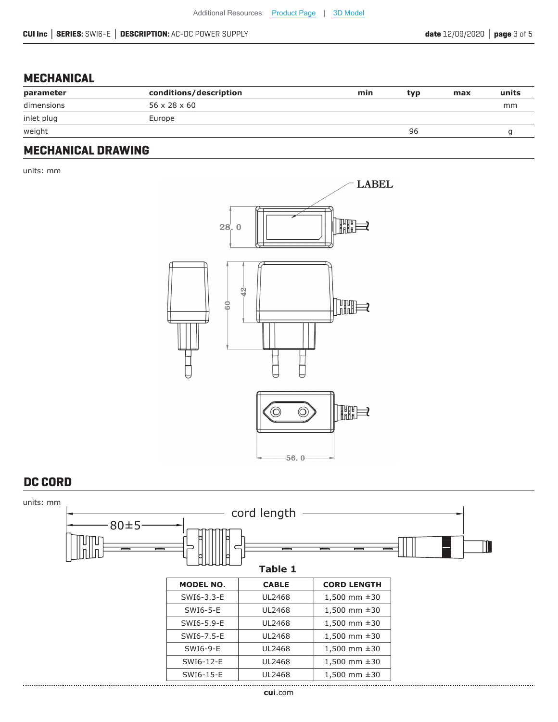### **MECHANICAL**

| parameter  | conditions/description   | min | tvp | max | units |
|------------|--------------------------|-----|-----|-----|-------|
| dimensions | $56 \times 28 \times 60$ |     |     |     | mm    |
| inlet plug | Europe                   |     |     |     |       |
| weight     |                          |     | 96  |     |       |
|            |                          |     |     |     |       |

### **MECHANICAL DRAWING**

units: mm



### **DC CORD**

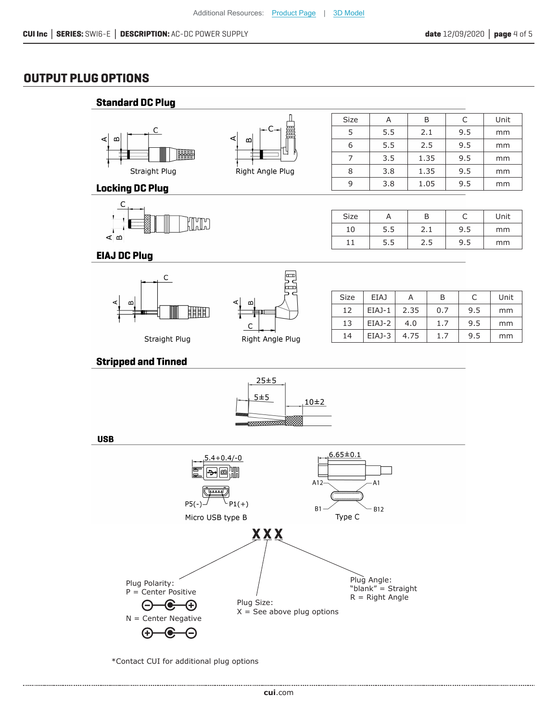### **OUTPUT PLUG OPTIONS**



\*Contact CUI for additional plug options

......................